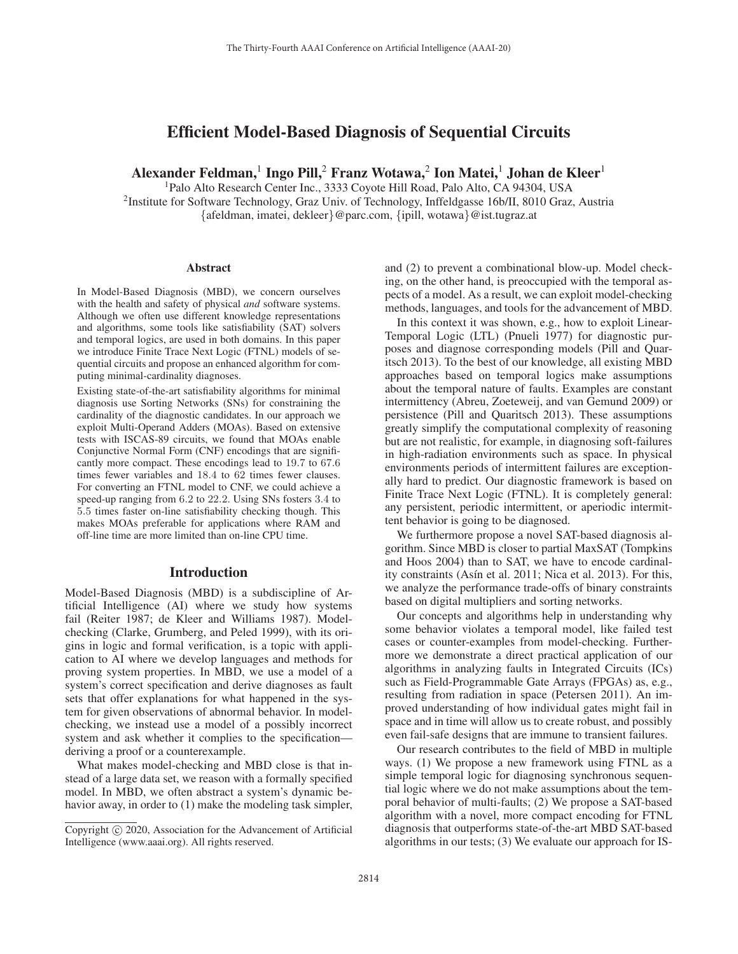# Efficient Model-Based Diagnosis of Sequential Circuits

Alexander Feldman,<sup>1</sup> Ingo Pill,<sup>2</sup> Franz Wotawa,<sup>2</sup> Ion Matei,<sup>1</sup> Johan de Kleer<sup>1</sup>

1Palo Alto Research Center Inc., 3333 Coyote Hill Road, Palo Alto, CA 94304, USA 2Institute for Software Technology, Graz Univ. of Technology, Inffeldgasse 16b/II, 8010 Graz, Austria {afeldman, imatei, dekleer}@parc.com, {ipill, wotawa}@ist.tugraz.at

#### **Abstract**

In Model-Based Diagnosis (MBD), we concern ourselves with the health and safety of physical *and* software systems. Although we often use different knowledge representations and algorithms, some tools like satisfiability (SAT) solvers and temporal logics, are used in both domains. In this paper we introduce Finite Trace Next Logic (FTNL) models of sequential circuits and propose an enhanced algorithm for computing minimal-cardinality diagnoses.

Existing state-of-the-art satisfiability algorithms for minimal diagnosis use Sorting Networks (SNs) for constraining the cardinality of the diagnostic candidates. In our approach we exploit Multi-Operand Adders (MOAs). Based on extensive tests with ISCAS-89 circuits, we found that MOAs enable Conjunctive Normal Form (CNF) encodings that are significantly more compact. These encodings lead to 19.7 to 67.6 times fewer variables and 18.4 to 62 times fewer clauses. For converting an FTNL model to CNF, we could achieve a speed-up ranging from 6.2 to 22.2. Using SNs fosters 3.4 to 5.5 times faster on-line satisfiability checking though. This makes MOAs preferable for applications where RAM and off-line time are more limited than on-line CPU time.

### Introduction

Model-Based Diagnosis (MBD) is a subdiscipline of Artificial Intelligence (AI) where we study how systems fail (Reiter 1987; de Kleer and Williams 1987). Modelchecking (Clarke, Grumberg, and Peled 1999), with its origins in logic and formal verification, is a topic with application to AI where we develop languages and methods for proving system properties. In MBD, we use a model of a system's correct specification and derive diagnoses as fault sets that offer explanations for what happened in the system for given observations of abnormal behavior. In modelchecking, we instead use a model of a possibly incorrect system and ask whether it complies to the specification deriving a proof or a counterexample.

What makes model-checking and MBD close is that instead of a large data set, we reason with a formally specified model. In MBD, we often abstract a system's dynamic behavior away, in order to (1) make the modeling task simpler,

and (2) to prevent a combinational blow-up. Model checking, on the other hand, is preoccupied with the temporal aspects of a model. As a result, we can exploit model-checking methods, languages, and tools for the advancement of MBD.

In this context it was shown, e.g., how to exploit Linear-Temporal Logic (LTL) (Pnueli 1977) for diagnostic purposes and diagnose corresponding models (Pill and Quaritsch 2013). To the best of our knowledge, all existing MBD approaches based on temporal logics make assumptions about the temporal nature of faults. Examples are constant intermittency (Abreu, Zoeteweij, and van Gemund 2009) or persistence (Pill and Quaritsch 2013). These assumptions greatly simplify the computational complexity of reasoning but are not realistic, for example, in diagnosing soft-failures in high-radiation environments such as space. In physical environments periods of intermittent failures are exceptionally hard to predict. Our diagnostic framework is based on Finite Trace Next Logic (FTNL). It is completely general: any persistent, periodic intermittent, or aperiodic intermittent behavior is going to be diagnosed.

We furthermore propose a novel SAT-based diagnosis algorithm. Since MBD is closer to partial MaxSAT (Tompkins and Hoos 2004) than to SAT, we have to encode cardinality constraints (Asín et al. 2011; Nica et al. 2013). For this, we analyze the performance trade-offs of binary constraints based on digital multipliers and sorting networks.

Our concepts and algorithms help in understanding why some behavior violates a temporal model, like failed test cases or counter-examples from model-checking. Furthermore we demonstrate a direct practical application of our algorithms in analyzing faults in Integrated Circuits (ICs) such as Field-Programmable Gate Arrays (FPGAs) as, e.g., resulting from radiation in space (Petersen 2011). An improved understanding of how individual gates might fail in space and in time will allow us to create robust, and possibly even fail-safe designs that are immune to transient failures.

Our research contributes to the field of MBD in multiple ways. (1) We propose a new framework using FTNL as a simple temporal logic for diagnosing synchronous sequential logic where we do not make assumptions about the temporal behavior of multi-faults; (2) We propose a SAT-based algorithm with a novel, more compact encoding for FTNL diagnosis that outperforms state-of-the-art MBD SAT-based algorithms in our tests; (3) We evaluate our approach for IS-

Copyright  $\odot$  2020, Association for the Advancement of Artificial Intelligence (www.aaai.org). All rights reserved.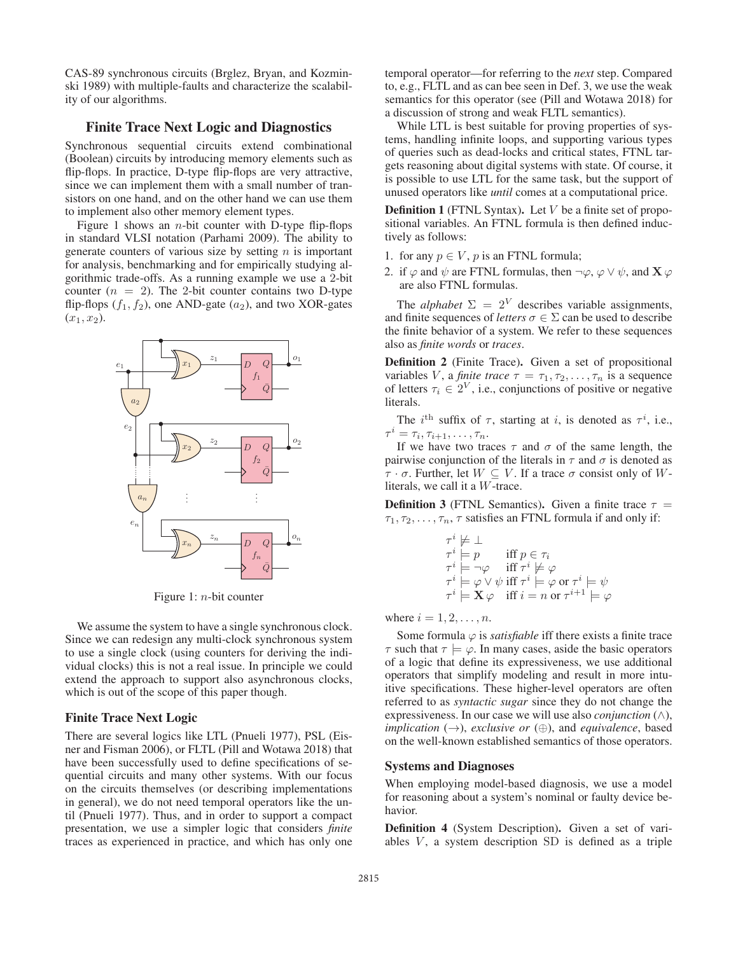CAS-89 synchronous circuits (Brglez, Bryan, and Kozminski 1989) with multiple-faults and characterize the scalability of our algorithms.

### Finite Trace Next Logic and Diagnostics

Synchronous sequential circuits extend combinational (Boolean) circuits by introducing memory elements such as flip-flops. In practice, D-type flip-flops are very attractive, since we can implement them with a small number of transistors on one hand, and on the other hand we can use them to implement also other memory element types.

Figure 1 shows an *n*-bit counter with D-type flip-flops in standard VLSI notation (Parhami 2009). The ability to generate counters of various size by setting  $n$  is important for analysis, benchmarking and for empirically studying algorithmic trade-offs. As a running example we use a 2-bit counter  $(n = 2)$ . The 2-bit counter contains two D-type flip-flops  $(f_1, f_2)$ , one AND-gate  $(a_2)$ , and two XOR-gates  $(x_1, x_2)$ .



Figure 1: n-bit counter

We assume the system to have a single synchronous clock. Since we can redesign any multi-clock synchronous system to use a single clock (using counters for deriving the individual clocks) this is not a real issue. In principle we could extend the approach to support also asynchronous clocks, which is out of the scope of this paper though.

### Finite Trace Next Logic

There are several logics like LTL (Pnueli 1977), PSL (Eisner and Fisman 2006), or FLTL (Pill and Wotawa 2018) that have been successfully used to define specifications of sequential circuits and many other systems. With our focus on the circuits themselves (or describing implementations in general), we do not need temporal operators like the until (Pnueli 1977). Thus, and in order to support a compact presentation, we use a simpler logic that considers *finite* traces as experienced in practice, and which has only one

temporal operator—for referring to the *next* step. Compared to, e.g., FLTL and as can bee seen in Def. 3, we use the weak semantics for this operator (see (Pill and Wotawa 2018) for a discussion of strong and weak FLTL semantics).

While LTL is best suitable for proving properties of systems, handling infinite loops, and supporting various types of queries such as dead-locks and critical states, FTNL targets reasoning about digital systems with state. Of course, it is possible to use LTL for the same task, but the support of unused operators like *until* comes at a computational price.

**Definition 1** (FTNL Syntax). Let  $V$  be a finite set of propositional variables. An FTNL formula is then defined inductively as follows:

- 1. for any  $p \in V$ , p is an FTNL formula;
- 2. if  $\varphi$  and  $\psi$  are FTNL formulas, then  $\neg \varphi$ ,  $\varphi \lor \psi$ , and **X**  $\varphi$ are also FTNL formulas.

The *alphabet*  $\Sigma = 2^V$  describes variable assignments, and finite sequences of *letters*  $\sigma \in \Sigma$  can be used to describe the finite behavior of a system. We refer to these sequences also as *finite words* or *traces*.

Definition 2 (Finite Trace). Given a set of propositional variables *V*, a *finite trace*  $\tau = \tau_1, \tau_2, \ldots, \tau_n$  is a sequence of letters  $\tau_i \in 2^V$ , i.e., conjunctions of positive or negative literals.

The i<sup>th</sup> suffix of  $\tau$ , starting at i, is denoted as  $\tau^i$ , i.e.,  $\tau^i = \tau_i, \tau_{i+1}, \ldots, \tau_n.$ 

If we have two traces  $\tau$  and  $\sigma$  of the same length, the pairwise conjunction of the literals in  $\tau$  and  $\sigma$  is denoted as  $\tau \cdot \sigma$ . Further, let  $W \subseteq V$ . If a trace  $\sigma$  consist only of Wliterals, we call it a W-trace.

**Definition 3** (FTNL Semantics). Given a finite trace  $\tau$  =  $\tau_1, \tau_2, \ldots, \tau_n$ ,  $\tau$  satisfies an FTNL formula if and only if:

$$
\begin{array}{ll}\n\tau^i \not\models \bot \\
\tau^i \models p & \text{iff } p \in \tau_i \\
\tau^i \models \neg \varphi & \text{iff } \tau^i \not\models \varphi \\
\tau^i \models \varphi \lor \psi \text{ iff } \tau^i \models \varphi \text{ or } \tau^i \models \psi \\
\tau^i \models \mathbf{X} \varphi & \text{iff } i = n \text{ or } \tau^{i+1} \models \varphi\n\end{array}
$$

where  $i = 1, 2, \ldots, n$ .

Some formula  $\varphi$  is *satisfiable* iff there exists a finite trace  $\tau$  such that  $\tau \models \varphi$ . In many cases, aside the basic operators of a logic that define its expressiveness, we use additional operators that simplify modeling and result in more intuitive specifications. These higher-level operators are often referred to as *syntactic sugar* since they do not change the expressiveness. In our case we will use also *conjunction*  $(\wedge)$ , *implication*  $(\rightarrow)$ *, exclusive or*  $(\oplus)$ *, and equivalence, based* on the well-known established semantics of those operators.

### Systems and Diagnoses

When employing model-based diagnosis, we use a model for reasoning about a system's nominal or faulty device behavior.

Definition 4 (System Description). Given a set of variables  $V$ , a system description SD is defined as a triple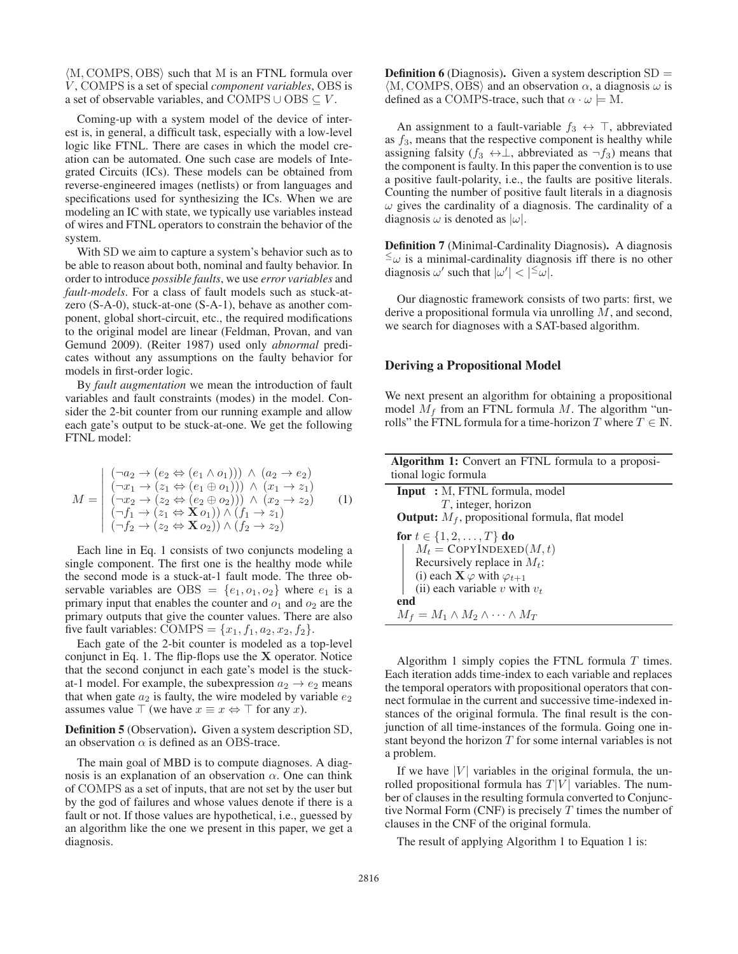$\langle M, \text{COMPS}, \text{OBS} \rangle$  such that M is an FTNL formula over V , COMPS is a set of special *component variables*, OBS is a set of observable variables, and COMPS ∪ OBS  $\subseteq$  V.

Coming-up with a system model of the device of interest is, in general, a difficult task, especially with a low-level logic like FTNL. There are cases in which the model creation can be automated. One such case are models of Integrated Circuits (ICs). These models can be obtained from reverse-engineered images (netlists) or from languages and specifications used for synthesizing the ICs. When we are modeling an IC with state, we typically use variables instead of wires and FTNL operators to constrain the behavior of the system.

With SD we aim to capture a system's behavior such as to be able to reason about both, nominal and faulty behavior. In order to introduce *possible faults*, we use *error variables* and *fault-models*. For a class of fault models such as stuck-atzero (S-A-0), stuck-at-one (S-A-1), behave as another component, global short-circuit, etc., the required modifications to the original model are linear (Feldman, Provan, and van Gemund 2009). (Reiter 1987) used only *abnormal* predicates without any assumptions on the faulty behavior for models in first-order logic.

By *fault augmentation* we mean the introduction of fault variables and fault constraints (modes) in the model. Consider the 2-bit counter from our running example and allow each gate's output to be stuck-at-one. We get the following FTNL model:

$$
M = \begin{pmatrix} (\neg a_2 \rightarrow (e_2 \Leftrightarrow (e_1 \wedge o_1))) \wedge (a_2 \rightarrow e_2) \\ (\neg x_1 \rightarrow (z_1 \Leftrightarrow (e_1 \oplus o_1))) \wedge (x_1 \rightarrow z_1) \\ (\neg x_2 \rightarrow (z_2 \Leftrightarrow (e_2 \oplus o_2))) \wedge (x_2 \rightarrow z_2) \\ (\neg f_1 \rightarrow (z_1 \Leftrightarrow \mathbf{X} o_1)) \wedge (f_1 \rightarrow z_1) \\ (\neg f_2 \rightarrow (z_2 \Leftrightarrow \mathbf{X} o_2)) \wedge (f_2 \rightarrow z_2) \end{pmatrix}
$$
(1)

Each line in Eq. 1 consists of two conjuncts modeling a single component. The first one is the healthy mode while the second mode is a stuck-at-1 fault mode. The three observable variables are OBS =  $\{e_1, o_1, o_2\}$  where  $e_1$  is a primary input that enables the counter and  $o_1$  and  $o_2$  are the primary outputs that give the counter values. There are also five fault variables: COMPS =  $\{x_1, f_1, a_2, x_2, f_2\}$ .

Each gate of the 2-bit counter is modeled as a top-level conjunct in Eq. 1. The flip-flops use the **X** operator. Notice that the second conjunct in each gate's model is the stuckat-1 model. For example, the subexpression  $a_2 \rightarrow e_2$  means that when gate  $a_2$  is faulty, the wire modeled by variable  $e_2$ assumes value  $\top$  (we have  $x \equiv x \Leftrightarrow \top$  for any x).

Definition 5 (Observation). Given a system description SD, an observation  $\alpha$  is defined as an OBS-trace.

The main goal of MBD is to compute diagnoses. A diagnosis is an explanation of an observation  $\alpha$ . One can think of COMPS as a set of inputs, that are not set by the user but by the god of failures and whose values denote if there is a fault or not. If those values are hypothetical, i.e., guessed by an algorithm like the one we present in this paper, we get a diagnosis.

**Definition 6** (Diagnosis). Given a system description  $SD =$  $\langle M, \text{COMPS}, \text{OBS} \rangle$  and an observation  $\alpha$ , a diagnosis  $\omega$  is defined as a COMPS-trace, such that  $\alpha \cdot \omega \models M$ .

An assignment to a fault-variable  $f_3 \leftrightarrow \top$ , abbreviated as  $f_3$ , means that the respective component is healthy while assigning falsity ( $f_3 \leftrightarrow \perp$ , abbreviated as  $\neg f_3$ ) means that the component is faulty. In this paper the convention is to use a positive fault-polarity, i.e., the faults are positive literals. Counting the number of positive fault literals in a diagnosis  $\omega$  gives the cardinality of a diagnosis. The cardinality of a diagnosis  $\omega$  is denoted as  $|\omega|$ .

Definition 7 (Minimal-Cardinality Diagnosis). A diagnosis  $\leq_{\omega}$  is a minimal-cardinality diagnosis iff there is no other diagnosis  $\omega'$  such that  $|\omega'| < |\epsilon|$ .

Our diagnostic framework consists of two parts: first, we derive a propositional formula via unrolling M, and second, we search for diagnoses with a SAT-based algorithm.

### Deriving a Propositional Model

We next present an algorithm for obtaining a propositional model  $M_f$  from an FTNL formula M. The algorithm "unrolls" the FTNL formula for a time-horizon T where  $T \in \mathbb{N}$ .

| <b>Algorithm 1:</b> Convert an FTNL formula to a proposi-<br>tional logic formula |
|-----------------------------------------------------------------------------------|
| <b>Input</b> : M, FTNL formula, model                                             |
| $T$ , integer, horizon                                                            |
| <b>Output:</b> $M_f$ , propositional formula, flat model                          |
| for $t \in \{1, 2, , T\}$ do                                                      |
| $M_t = \text{CopyINDEXED}(M, t)$                                                  |
| Recursively replace in $M_t$ :                                                    |
| (i) each $\mathbf{X} \varphi$ with $\varphi_{t+1}$                                |
| (ii) each variable $v$ with $v_t$                                                 |
| end                                                                               |
| $M_f = M_1 \wedge M_2 \wedge \cdots \wedge M_T$                                   |

Algorithm 1 simply copies the FTNL formula  $T$  times. Each iteration adds time-index to each variable and replaces the temporal operators with propositional operators that connect formulae in the current and successive time-indexed instances of the original formula. The final result is the conjunction of all time-instances of the formula. Going one instant beyond the horizon  $T$  for some internal variables is not a problem.

If we have  $|V|$  variables in the original formula, the unrolled propositional formula has  $T|V|$  variables. The number of clauses in the resulting formula converted to Conjunctive Normal Form (CNF) is precisely  $T$  times the number of clauses in the CNF of the original formula.

The result of applying Algorithm 1 to Equation 1 is: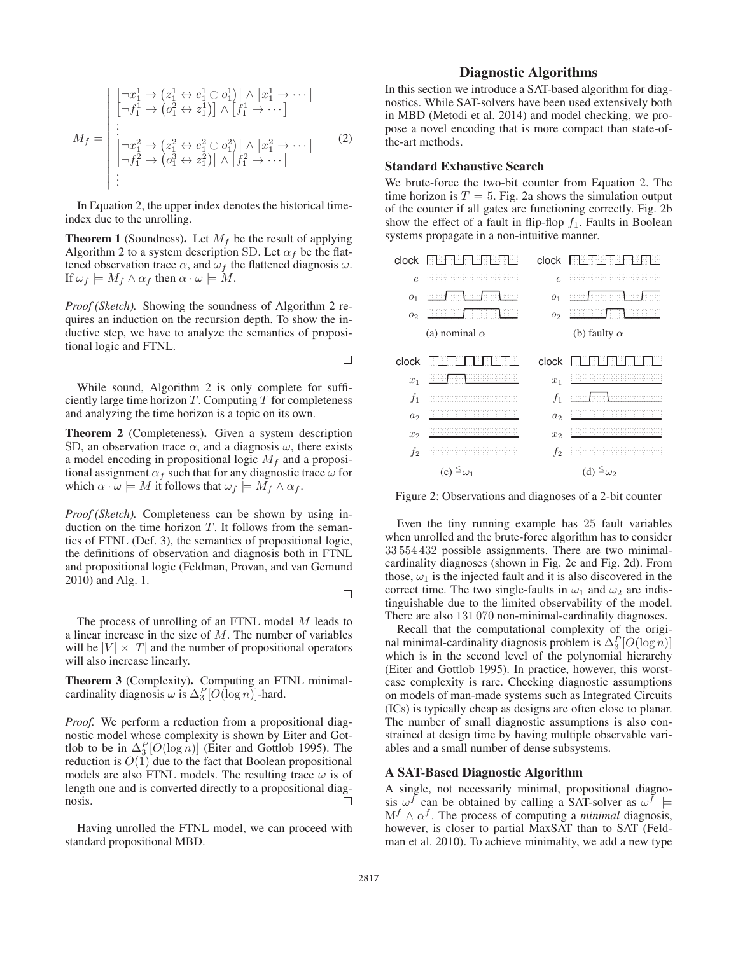$$
M_f = \begin{vmatrix} \begin{bmatrix} -x_1^1 \rightarrow (z_1^1 \leftrightarrow e_1^1 \oplus o_1^1) \end{bmatrix} \wedge \begin{bmatrix} x_1^1 \rightarrow \cdots \end{bmatrix} \\ \begin{bmatrix} -f_1^1 \rightarrow (o_1^2 \leftrightarrow z_1^1) \end{bmatrix} \wedge \begin{bmatrix} f_1^1 \rightarrow \cdots \end{bmatrix} \\ \begin{bmatrix} \begin{bmatrix} -x_1^2 \rightarrow (z_1^2 \leftrightarrow e_1^2 \oplus o_1^2) \end{bmatrix} \wedge \begin{bmatrix} x_1^2 \rightarrow \cdots \end{bmatrix} \\ \begin{bmatrix} -f_1^2 \rightarrow (o_1^3 \leftrightarrow z_1^2) \end{bmatrix} \wedge \begin{bmatrix} f_1^2 \rightarrow \cdots \end{bmatrix} \end{vmatrix} \end{vmatrix}
$$
 (2)

In Equation 2, the upper index denotes the historical timeindex due to the unrolling.

**Theorem 1** (Soundness). Let  $M_f$  be the result of applying Algorithm 2 to a system description SD. Let  $\alpha_f$  be the flattened observation trace  $\alpha$ , and  $\omega_f$  the flattened diagnosis  $\omega$ . If  $\omega_f \models M_f \wedge \alpha_f$  then  $\alpha \cdot \omega \models M$ .

*Proof (Sketch).* Showing the soundness of Algorithm 2 requires an induction on the recursion depth. To show the inductive step, we have to analyze the semantics of propositional logic and FTNL.

While sound, Algorithm 2 is only complete for sufficiently large time horizon  $T$ . Computing  $T$  for completeness and analyzing the time horizon is a topic on its own.

Theorem 2 (Completeness). Given a system description SD, an observation trace  $\alpha$ , and a diagnosis  $\omega$ , there exists a model encoding in propositional logic  $M_f$  and a propositional assignment  $\alpha_f$  such that for any diagnostic trace  $\omega$  for which  $\alpha \cdot \omega \models M$  it follows that  $\omega_f \models M_f \wedge \alpha_f$ .

*Proof (Sketch).* Completeness can be shown by using induction on the time horizon  $T$ . It follows from the semantics of FTNL (Def. 3), the semantics of propositional logic, the definitions of observation and diagnosis both in FTNL and propositional logic (Feldman, Provan, and van Gemund 2010) and Alg. 1.

The process of unrolling of an FTNL model M leads to a linear increase in the size of M. The number of variables will be  $|V| \times |T|$  and the number of propositional operators will also increase linearly.

Theorem 3 (Complexity). Computing an FTNL minimalcardinality diagnosis  $\omega$  is  $\Delta_3^P[O(\log n)]$ -hard.

*Proof.* We perform a reduction from a propositional diagnostic model whose complexity is shown by Eiter and Gottlob to be in  $\Delta_3^P[O(\log n)]$  (Eiter and Gottlob 1995). The reduction is  $O(1)$  due to the fact that Boolean propositional models are also FTNL models. The resulting trace  $\omega$  is of length one and is converted directly to a propositional diagnosis. П

Having unrolled the FTNL model, we can proceed with standard propositional MBD.

# Diagnostic Algorithms

In this section we introduce a SAT-based algorithm for diagnostics. While SAT-solvers have been used extensively both in MBD (Metodi et al. 2014) and model checking, we propose a novel encoding that is more compact than state-ofthe-art methods.

# Standard Exhaustive Search

We brute-force the two-bit counter from Equation 2. The time horizon is  $T = 5$ . Fig. 2a shows the simulation output of the counter if all gates are functioning correctly. Fig. 2b show the effect of a fault in flip-flop  $f_1$ . Faults in Boolean systems propagate in a non-intuitive manner.



Figure 2: Observations and diagnoses of a 2-bit counter

Even the tiny running example has 25 fault variables when unrolled and the brute-force algorithm has to consider 33 554 432 possible assignments. There are two minimalcardinality diagnoses (shown in Fig. 2c and Fig. 2d). From those,  $\omega_1$  is the injected fault and it is also discovered in the correct time. The two single-faults in  $\omega_1$  and  $\omega_2$  are indistinguishable due to the limited observability of the model. There are also 131 070 non-minimal-cardinality diagnoses.

Recall that the computational complexity of the original minimal-cardinality diagnosis problem is  $\Delta_3^P[O(\log n)]$ which is in the second level of the polynomial hierarchy (Eiter and Gottlob 1995). In practice, however, this worstcase complexity is rare. Checking diagnostic assumptions on models of man-made systems such as Integrated Circuits (ICs) is typically cheap as designs are often close to planar. The number of small diagnostic assumptions is also constrained at design time by having multiple observable variables and a small number of dense subsystems.

### A SAT-Based Diagnostic Algorithm

A single, not necessarily minimal, propositional diagnosis  $\omega^f$  can be obtained by calling a SAT-solver as  $\omega^f$  $M<sup>f</sup> \wedge \alpha<sup>f</sup>$ . The process of computing a *minimal* diagnosis, however, is closer to partial MaxSAT than to SAT (Feldman et al. 2010). To achieve minimality, we add a new type

 $\Box$ 

 $\Box$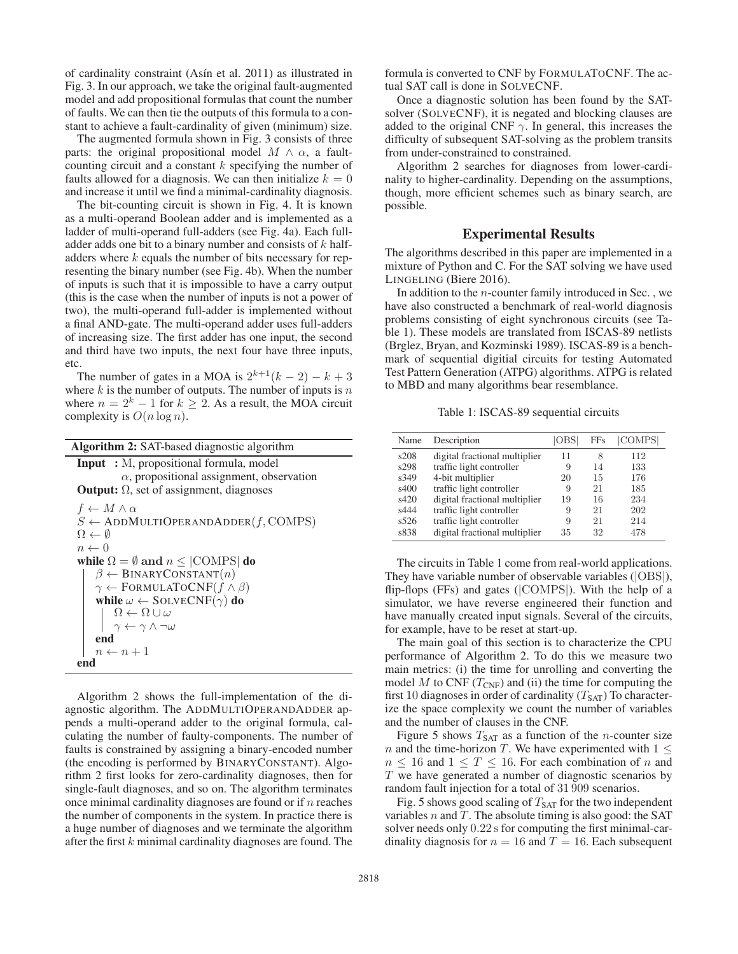of cardinality constraint (Asín et al. 2011) as illustrated in Fig. 3. In our approach, we take the original fault-augmented model and add propositional formulas that count the number of faults. We can then tie the outputs of this formula to a constant to achieve a fault-cardinality of given (minimum) size.

The augmented formula shown in Fig. 3 consists of three parts: the original propositional model  $M \wedge \alpha$ , a faultcounting circuit and a constant  $k$  specifying the number of faults allowed for a diagnosis. We can then initialize  $k = 0$ and increase it until we find a minimal-cardinality diagnosis.

The bit-counting circuit is shown in Fig. 4. It is known as a multi-operand Boolean adder and is implemented as a ladder of multi-operand full-adders (see Fig. 4a). Each fulladder adds one bit to a binary number and consists of  $k$  halfadders where k equals the number of bits necessary for representing the binary number (see Fig. 4b). When the number of inputs is such that it is impossible to have a carry output (this is the case when the number of inputs is not a power of two), the multi-operand full-adder is implemented without a final AND-gate. The multi-operand adder uses full-adders of increasing size. The first adder has one input, the second and third have two inputs, the next four have three inputs, etc.

The number of gates in a MOA is  $2^{k+1}(k-2) - k + 3$ where  $k$  is the number of outputs. The number of inputs is  $n$ where  $n = 2<sup>k</sup> - 1$  for  $k \ge 2$ . As a result, the MOA circuit complexity is  $O(n \log n)$ .

| <b>Algorithm 2:</b> SAT-based diagnostic algorithm                                      |  |  |  |  |  |  |
|-----------------------------------------------------------------------------------------|--|--|--|--|--|--|
| <b>Input</b> : M, propositional formula, model                                          |  |  |  |  |  |  |
| $\alpha$ , propositional assignment, observation                                        |  |  |  |  |  |  |
| <b>Output:</b> $\Omega$ , set of assignment, diagnoses                                  |  |  |  |  |  |  |
| $f \leftarrow M \wedge \alpha$                                                          |  |  |  |  |  |  |
| $S \leftarrow$ ADDMULTIOPERANDADDER(f, COMPS)                                           |  |  |  |  |  |  |
| $\Omega \leftarrow \emptyset$                                                           |  |  |  |  |  |  |
| $n \leftarrow 0$                                                                        |  |  |  |  |  |  |
| while $\Omega = \emptyset$ and $n \leq  \text{COMPS} $ do                               |  |  |  |  |  |  |
| $\beta \leftarrow \text{BINARYаSTANT}(n)$                                               |  |  |  |  |  |  |
| $\gamma \leftarrow$ FORMULATOCNF( $f \wedge \beta$ )                                    |  |  |  |  |  |  |
| while $\omega \leftarrow$ SOLVECNF( $\gamma$ ) do                                       |  |  |  |  |  |  |
| $\Omega \leftarrow \Omega \cup \omega$<br>$\gamma \leftarrow \gamma \wedge \neg \omega$ |  |  |  |  |  |  |
|                                                                                         |  |  |  |  |  |  |
| end                                                                                     |  |  |  |  |  |  |
| $n \leftarrow n+1$                                                                      |  |  |  |  |  |  |
| end                                                                                     |  |  |  |  |  |  |

Algorithm 2 shows the full-implementation of the diagnostic algorithm. The ADDMULTIOPERANDADDER appends a multi-operand adder to the original formula, calculating the number of faulty-components. The number of faults is constrained by assigning a binary-encoded number (the encoding is performed by BINARYCONSTANT). Algorithm 2 first looks for zero-cardinality diagnoses, then for single-fault diagnoses, and so on. The algorithm terminates once minimal cardinality diagnoses are found or if  $n$  reaches the number of components in the system. In practice there is a huge number of diagnoses and we terminate the algorithm after the first k minimal cardinality diagnoses are found. The

formula is converted to CNF by FORMULATOCNF. The actual SAT call is done in SOLVECNF.

Once a diagnostic solution has been found by the SATsolver (SOLVECNF), it is negated and blocking clauses are added to the original CNF  $\gamma$ . In general, this increases the difficulty of subsequent SAT-solving as the problem transits from under-constrained to constrained.

Algorithm 2 searches for diagnoses from lower-cardinality to higher-cardinality. Depending on the assumptions, though, more efficient schemes such as binary search, are possible.

# Experimental Results

The algorithms described in this paper are implemented in a mixture of Python and C. For the SAT solving we have used LINGELING (Biere 2016).

In addition to the  $n$ -counter family introduced in Sec., we have also constructed a benchmark of real-world diagnosis problems consisting of eight synchronous circuits (see Table 1). These models are translated from ISCAS-89 netlists (Brglez, Bryan, and Kozminski 1989). ISCAS-89 is a benchmark of sequential digitial circuits for testing Automated Test Pattern Generation (ATPG) algorithms. ATPG is related to MBD and many algorithms bear resemblance.

Table 1: ISCAS-89 sequential circuits

| Name | Description                   | OBS | <b>FFs</b> | COMPS |
|------|-------------------------------|-----|------------|-------|
| s208 | digital fractional multiplier | 11  | 8          | 112   |
| s298 | traffic light controller      | 9   | 14         | 133   |
| s349 | 4-bit multiplier              | 20  | 15         | 176   |
| s400 | traffic light controller      | 9   | 21         | 185   |
| s420 | digital fractional multiplier | 19  | 16         | 234   |
| s444 | traffic light controller      | 9   | 21         | 202   |
| s526 | traffic light controller      | 9   | 21         | 214   |
| s838 | digital fractional multiplier | 35  | 32         | 478   |

The circuits in Table 1 come from real-world applications. They have variable number of observable variables (|OBS|), flip-flops (FFs) and gates (|COMPS|). With the help of a simulator, we have reverse engineered their function and have manually created input signals. Several of the circuits, for example, have to be reset at start-up.

The main goal of this section is to characterize the CPU performance of Algorithm 2. To do this we measure two main metrics: (i) the time for unrolling and converting the model M to CNF  $(T_{\text{CNF}})$  and (ii) the time for computing the first 10 diagnoses in order of cardinality  $(T<sub>SAT</sub>)$  To characterize the space complexity we count the number of variables and the number of clauses in the CNF.

Figure 5 shows  $T_{\text{SAT}}$  as a function of the *n*-counter size n and the time-horizon T. We have experimented with  $1 \leq$  $n \leq 16$  and  $1 \leq T \leq 16$ . For each combination of n and T we have generated a number of diagnostic scenarios by random fault injection for a total of 31 909 scenarios.

Fig. 5 shows good scaling of  $T<sub>SAT</sub>$  for the two independent variables  $n$  and  $T$ . The absolute timing is also good: the SAT solver needs only 0.22 s for computing the first minimal-cardinality diagnosis for  $n = 16$  and  $T = 16$ . Each subsequent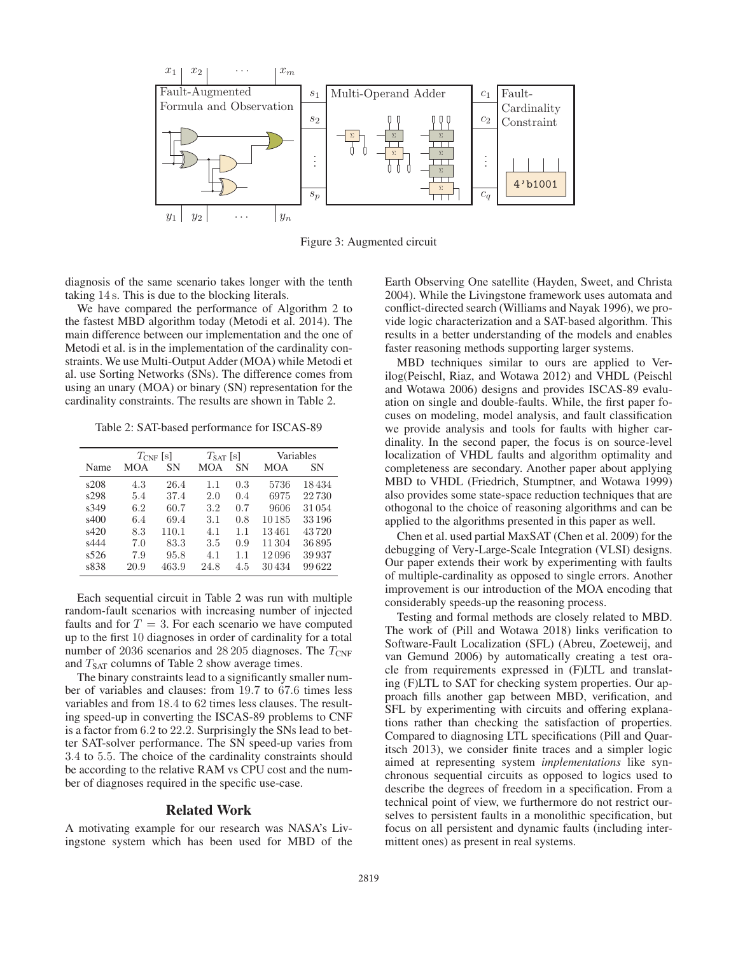

Figure 3: Augmented circuit

diagnosis of the same scenario takes longer with the tenth taking 14 s. This is due to the blocking literals.

We have compared the performance of Algorithm 2 to the fastest MBD algorithm today (Metodi et al. 2014). The main difference between our implementation and the one of Metodi et al. is in the implementation of the cardinality constraints. We use Multi-Output Adder (MOA) while Metodi et al. use Sorting Networks (SNs). The difference comes from using an unary (MOA) or binary (SN) representation for the cardinality constraints. The results are shown in Table 2.

Table 2: SAT-based performance for ISCAS-89

|      | $T_{\text{CNF}}$ [s] |       | $T_{\text{SAT}}$ [s] |           | Variables |       |
|------|----------------------|-------|----------------------|-----------|-----------|-------|
| Name | MOA                  | SN    | <b>MOA</b>           | <b>SN</b> | MOA       | SΝ    |
| s208 | 4.3                  | 26.4  | 1.1                  | 0.3       | 5736      | 18434 |
| s298 | 5.4                  | 37.4  | 2.0                  | 0.4       | 6975      | 22730 |
| s349 | 6.2                  | 60.7  | 3.2                  | 0.7       | 9606      | 31054 |
| s400 | 6.4                  | 69.4  | 3.1                  | 0.8       | 10185     | 33196 |
| s420 | 8.3                  | 110.1 | 4.1                  | 1.1       | 13461     | 43720 |
| s444 | 7.0                  | 83.3  | 3.5                  | 0.9       | 11304     | 36895 |
| s526 | 7.9                  | 95.8  | 4.1                  | 1.1       | 12096     | 39937 |
| s838 | 20.9                 | 463.9 | 24.8                 | 4.5       | 30434     | 99622 |

Each sequential circuit in Table 2 was run with multiple random-fault scenarios with increasing number of injected faults and for  $T = 3$ . For each scenario we have computed up to the first 10 diagnoses in order of cardinality for a total number of 2036 scenarios and 28 205 diagnoses. The  $T_{\text{CNF}}$ and  $T_{\text{SAT}}$  columns of Table 2 show average times.

The binary constraints lead to a significantly smaller number of variables and clauses: from 19.7 to 67.6 times less variables and from 18.4 to 62 times less clauses. The resulting speed-up in converting the ISCAS-89 problems to CNF is a factor from 6.2 to 22.2. Surprisingly the SNs lead to better SAT-solver performance. The SN speed-up varies from 3.4 to 5.5. The choice of the cardinality constraints should be according to the relative RAM vs CPU cost and the number of diagnoses required in the specific use-case.

### Related Work

A motivating example for our research was NASA's Livingstone system which has been used for MBD of the Earth Observing One satellite (Hayden, Sweet, and Christa 2004). While the Livingstone framework uses automata and conflict-directed search (Williams and Nayak 1996), we provide logic characterization and a SAT-based algorithm. This results in a better understanding of the models and enables faster reasoning methods supporting larger systems.

MBD techniques similar to ours are applied to Verilog(Peischl, Riaz, and Wotawa 2012) and VHDL (Peischl and Wotawa 2006) designs and provides ISCAS-89 evaluation on single and double-faults. While, the first paper focuses on modeling, model analysis, and fault classification we provide analysis and tools for faults with higher cardinality. In the second paper, the focus is on source-level localization of VHDL faults and algorithm optimality and completeness are secondary. Another paper about applying MBD to VHDL (Friedrich, Stumptner, and Wotawa 1999) also provides some state-space reduction techniques that are othogonal to the choice of reasoning algorithms and can be applied to the algorithms presented in this paper as well.

Chen et al. used partial MaxSAT (Chen et al. 2009) for the debugging of Very-Large-Scale Integration (VLSI) designs. Our paper extends their work by experimenting with faults of multiple-cardinality as opposed to single errors. Another improvement is our introduction of the MOA encoding that considerably speeds-up the reasoning process.

Testing and formal methods are closely related to MBD. The work of (Pill and Wotawa 2018) links verification to Software-Fault Localization (SFL) (Abreu, Zoeteweij, and van Gemund 2006) by automatically creating a test oracle from requirements expressed in (F)LTL and translating (F)LTL to SAT for checking system properties. Our approach fills another gap between MBD, verification, and SFL by experimenting with circuits and offering explanations rather than checking the satisfaction of properties. Compared to diagnosing LTL specifications (Pill and Quaritsch 2013), we consider finite traces and a simpler logic aimed at representing system *implementations* like synchronous sequential circuits as opposed to logics used to describe the degrees of freedom in a specification. From a technical point of view, we furthermore do not restrict ourselves to persistent faults in a monolithic specification, but focus on all persistent and dynamic faults (including intermittent ones) as present in real systems.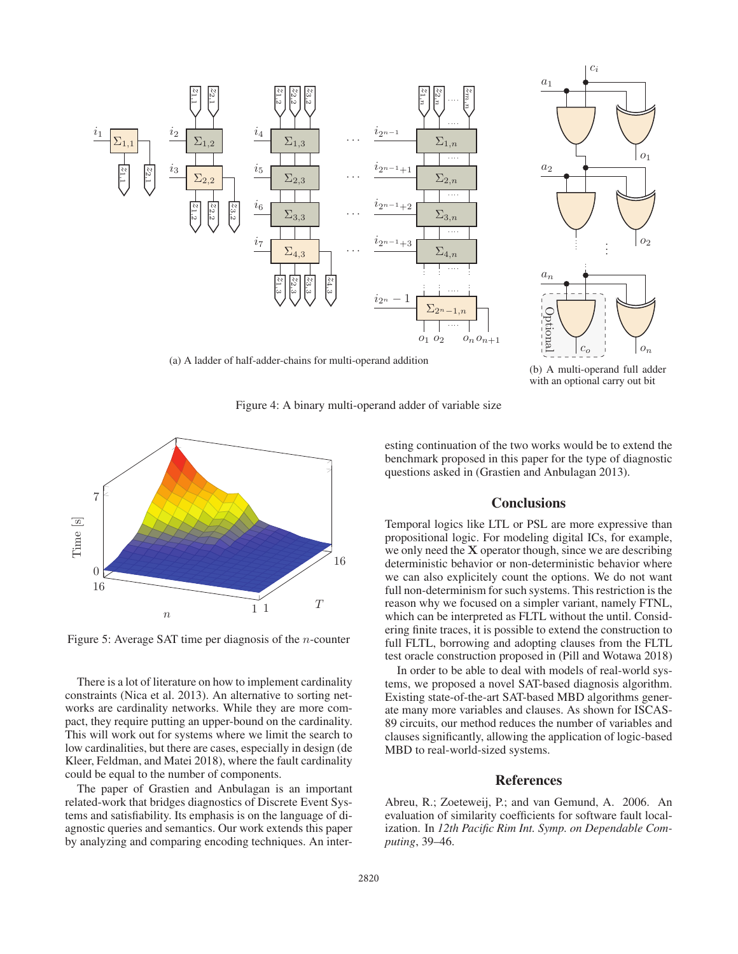



(b) A multi-operand full adder with an optional carry out bit

Figure 4: A binary multi-operand adder of variable size



Figure 5: Average SAT time per diagnosis of the n-counter

There is a lot of literature on how to implement cardinality constraints (Nica et al. 2013). An alternative to sorting networks are cardinality networks. While they are more compact, they require putting an upper-bound on the cardinality. This will work out for systems where we limit the search to low cardinalities, but there are cases, especially in design (de Kleer, Feldman, and Matei 2018), where the fault cardinality could be equal to the number of components.

The paper of Grastien and Anbulagan is an important related-work that bridges diagnostics of Discrete Event Systems and satisfiability. Its emphasis is on the language of diagnostic queries and semantics. Our work extends this paper by analyzing and comparing encoding techniques. An interesting continuation of the two works would be to extend the benchmark proposed in this paper for the type of diagnostic questions asked in (Grastien and Anbulagan 2013).

## **Conclusions**

Temporal logics like LTL or PSL are more expressive than propositional logic. For modeling digital ICs, for example, we only need the **X** operator though, since we are describing deterministic behavior or non-deterministic behavior where we can also explicitely count the options. We do not want full non-determinism for such systems. This restriction is the reason why we focused on a simpler variant, namely FTNL, which can be interpreted as FLTL without the until. Considering finite traces, it is possible to extend the construction to full FLTL, borrowing and adopting clauses from the FLTL test oracle construction proposed in (Pill and Wotawa 2018)

In order to be able to deal with models of real-world systems, we proposed a novel SAT-based diagnosis algorithm. Existing state-of-the-art SAT-based MBD algorithms generate many more variables and clauses. As shown for ISCAS-89 circuits, our method reduces the number of variables and clauses significantly, allowing the application of logic-based MBD to real-world-sized systems.

### References

Abreu, R.; Zoeteweij, P.; and van Gemund, A. 2006. An evaluation of similarity coefficients for software fault localization. In *12th Pacific Rim Int. Symp. on Dependable Computing*, 39–46.